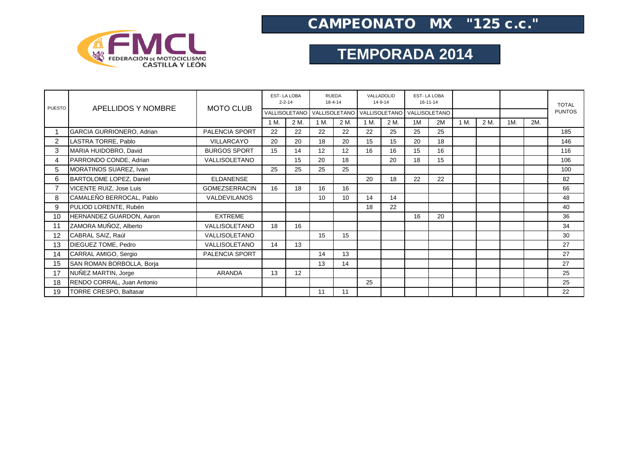

## CAMPEONATO MX "125 c.c."

## **TEMPORADA 2014**

| <b>PUESTO</b> | APELLIDOS Y NOMBRE            | <b>MOTO CLUB</b>     | <b>EST-LA LOBA</b><br>$2 - 2 - 14$ |      | <b>RUEDA</b><br>$18 - 4 - 14$                           |      | VALLADOLID<br>14-9-14 |      | <b>EST-LA LOBA</b><br>16-11-14 |    |      |      |     |     | <b>TOTAL</b>  |
|---------------|-------------------------------|----------------------|------------------------------------|------|---------------------------------------------------------|------|-----------------------|------|--------------------------------|----|------|------|-----|-----|---------------|
|               |                               |                      |                                    |      | VALLISOLETANO VALLISOLETANO VALLISOLETANO VALLISOLETANO |      |                       |      |                                |    |      |      |     |     | <b>PUNTOS</b> |
|               |                               |                      | 1 M.                               | 2 M. | 1 M.                                                    | 2 M. | 1 M.                  | 2 M. | 1M                             | 2M | 1 M. | 2 M. | 1M. | 2M. |               |
|               | GARCIA GURRIONERO, Adrian     | PALENCIA SPORT       | 22                                 | 22   | 22                                                      | 22   | 22                    | 25   | 25                             | 25 |      |      |     |     | 185           |
| 2             | LASTRA TORRE, Pablo           | <b>VILLARCAYO</b>    | 20                                 | 20   | 18                                                      | 20   | 15                    | 15   | 20                             | 18 |      |      |     |     | 146           |
| 3             | MARIA HUIDOBRO, David         | <b>BURGOS SPORT</b>  | 15                                 | 14   | 12                                                      | 12   | 16                    | 16   | 15                             | 16 |      |      |     |     | 116           |
| 4             | PARRONDO CONDE, Adrian        | VALLISOLETANO        |                                    | 15   | 20                                                      | 18   |                       | 20   | 18                             | 15 |      |      |     |     | 106           |
| 5             | MORATINOS SUAREZ, Ivan        |                      | 25                                 | 25   | 25                                                      | 25   |                       |      |                                |    |      |      |     |     | 100           |
| 6             | BARTOLOME LOPEZ, Daniel       | <b>ELDANENSE</b>     |                                    |      |                                                         |      | 20                    | 18   | 22                             | 22 |      |      |     |     | 82            |
|               | VICENTE RUIZ, Jose Luis       | <b>GOMEZSERRACIN</b> | 16                                 | 18   | 16                                                      | 16   |                       |      |                                |    |      |      |     |     | 66            |
| 8             | CAMALEÑO BERROCAL, Pablo      | <b>VALDEVILANOS</b>  |                                    |      | 10                                                      | 10   | 14                    | 14   |                                |    |      |      |     |     | 48            |
| 9             | PULIOD LORENTE, Rubén         |                      |                                    |      |                                                         |      | 18                    | 22   |                                |    |      |      |     |     | 40            |
| 10            | HERNANDEZ GUARDON, Aaron      | <b>EXTREME</b>       |                                    |      |                                                         |      |                       |      | 16                             | 20 |      |      |     |     | 36            |
| 11            | ZAMORA MUÑOZ, Alberto         | VALLISOLETANO        | 18                                 | 16   |                                                         |      |                       |      |                                |    |      |      |     |     | 34            |
| 12            | CABRAL SAIZ, Raúl             | VALLISOLETANO        |                                    |      | 15                                                      | 15   |                       |      |                                |    |      |      |     |     | 30            |
| 13            | DIEGUEZ TOME, Pedro           | VALLISOLETANO        | 14                                 | 13   |                                                         |      |                       |      |                                |    |      |      |     |     | 27            |
| 14            | CARRAL AMIGO, Sergio          | PALENCIA SPORT       |                                    |      | 14                                                      | 13   |                       |      |                                |    |      |      |     |     | 27            |
| 15            | SAN ROMAN BORBOLLA, Borja     |                      |                                    |      | 13                                                      | 14   |                       |      |                                |    |      |      |     |     | 27            |
| 17            | NUNEZ MARTIN, Jorge           | ARANDA               | 13                                 | 12   |                                                         |      |                       |      |                                |    |      |      |     |     | 25            |
| 18            | RENDO CORRAL, Juan Antonio    |                      |                                    |      |                                                         |      | 25                    |      |                                |    |      |      |     |     | 25            |
| 19            | <b>TORRE CRESPO, Baltasar</b> |                      |                                    |      | 11                                                      | 11   |                       |      |                                |    |      |      |     |     | 22            |